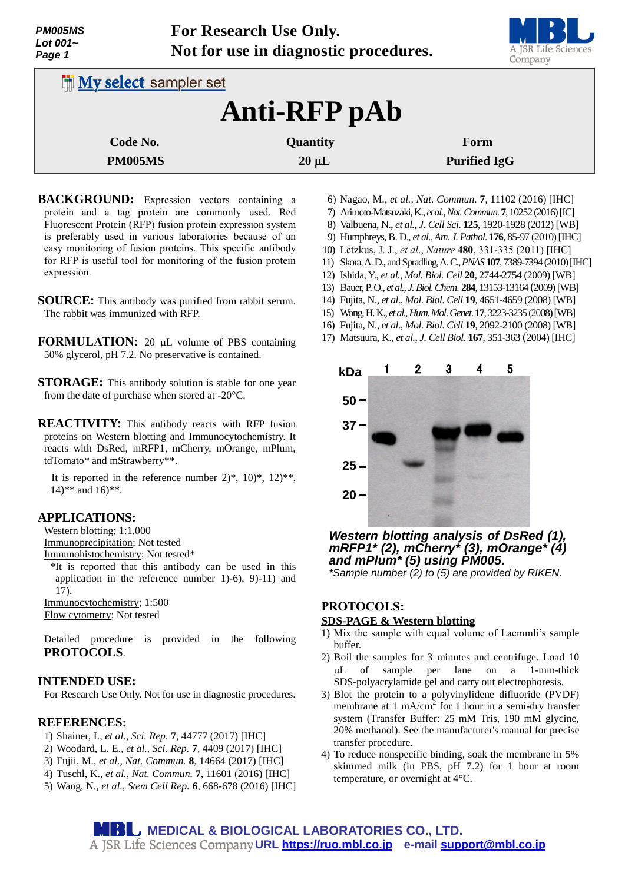| PM005MS<br>Lot $001-$<br>Page 1 |                              | For Research Use Only.<br>Not for use in diagnostic procedures. | A JSR Life Sciences<br>Company |
|---------------------------------|------------------------------|-----------------------------------------------------------------|--------------------------------|
|                                 | <b>My select sampler set</b> |                                                                 |                                |
|                                 |                              | Anti-RFP pAb                                                    |                                |
| Code No.                        |                              | Quantity                                                        | Form                           |
| <b>PM005MS</b>                  |                              | $20 \mu L$                                                      | <b>Purified IgG</b>            |

**For Research Use Only.**

- **BACKGROUND:** Expression vectors containing a protein and a tag protein are commonly used. Red Fluorescent Protein (RFP) fusion protein expression system is preferably used in various laboratories because of an easy monitoring of fusion proteins. This specific antibody for RFP is useful tool for monitoring of the fusion protein expression.
- **SOURCE:** This antibody was purified from rabbit serum. The rabbit was immunized with RFP.
- **FORMULATION:** 20 µL volume of PBS containing 50% glycerol, pH 7.2. No preservative is contained.
- **STORAGE:** This antibody solution is stable for one year from the date of purchase when stored at -20°C.
- **REACTIVITY:** This antibody reacts with RFP fusion proteins on Western blotting and Immunocytochemistry. It reacts with DsRed, mRFP1, mCherry, mOrange, mPlum, tdTomato\* and mStrawberry\*\*.

It is reported in the reference number  $2$ <sup>\*</sup>,  $10$ <sup>\*</sup>,  $12$ <sup>\*\*</sup>, 14)\*\* and 16)\*\*.

### **APPLICATIONS:**

Western blotting; 1:1,000 Immunoprecipitation; Not tested

Immunohistochemistry; Not tested\*

\*It is reported that this antibody can be used in this application in the reference number 1)-6), 9)-11) and 17). Immunocytochemistry; 1:500

Flow cytometry; Not tested

Detailed procedure is provided in the following **PROTOCOLS**.

### **INTENDED USE:**

For Research Use Only. Not for use in diagnostic procedures.

#### **REFERENCES:**

- 1) Shainer, I., *et al., Sci. Rep.* **7**, 44777 (2017) [IHC]
- 2) Woodard, L. E., *et al., Sci. Rep.* **7**, 4409 (2017) [IHC]
- 3) Fujii, M., *et al., Nat. Commun.* **8**, 14664 (2017) [IHC]
- 4) Tuschl, K., *et al., Nat. Commun.* **7**, 11601 (2016) [IHC]
- 5) Wang, N., *et al., Stem Cell Rep.* **6**, 668-678 (2016) [IHC]
- 6) Nagao, M., *et al., Nat. Commun.* **7**, 11102 (2016) [IHC] 7) Arimoto-Matsuzaki, K., *et al., Nat. Commun.* **7**, 10252 (2016) [IC]
- 8) Valbuena, N., *et al., J. Cell Sci*. **125**, 1920-1928 (2012) [WB]
- 9) Humphreys,B. D., *et al., Am. J. Pathol*. **176**, 85-97 (2010) [IHC]
- 10) [Letzkus,](http://www.ncbi.nlm.nih.gov/pubmed?term=Letzkus%20JJ%5BAuthor%5D&cauthor=true&cauthor_uid=22158104) J. J., *et al*., *Nature* **480**, 331-335 (2011) [IHC]
- 11) Skora,A. D., and Spradling,A. C.,*PNAS***107**, 7389-7394 (2010)[IHC]
- 12) Ishida, Y., *et al., Mol. Biol. Cell* **20**, 2744-2754 (2009) [WB]
- 13) Bauer, P. O., *et al., J. Biol. Chem*. **284**, 13153-13164 (2009)[WB]
- 14) Fujita, N., *et al*., *Mol*. *Biol*. *Cell* **19**, 4651-4659 (2008) [WB]
- 15) Wong, H. K., *et al*., *Hum*. *Mol*. *Genet*. **17**, 3223-3235 (2008)[WB]
- 16) Fujita, N., *et al*., *Mol*. *Biol*. *Cell* **19**, 2092-2100 (2008) [WB]
- 



*Western blotting analysis of DsRed (1), mRFP1\* (2), mCherry\* (3), mOrange\* (4) and mPlum\* (5) using PM005.*

*\*Sample number (2) to (5) are provided by RIKEN.*

# **PROTOCOLS:**

# **SDS-PAGE & Western blotting**

- 1) Mix the sample with equal volume of Laemmli's sample buffer.
- 2) Boil the samples for 3 minutes and centrifuge. Load 10 L of sample per lane on a 1-mm-thick SDS-polyacrylamide gel and carry out electrophoresis.
- 3) Blot the protein to a polyvinylidene difluoride (PVDF) membrane at 1 mA/cm<sup>2</sup> for 1 hour in a semi-dry transfer system (Transfer Buffer: 25 mM Tris, 190 mM glycine, 20% methanol). See the manufacturer's manual for precise transfer procedure.
- 4) To reduce nonspecific binding, soak the membrane in 5% skimmed milk (in PBS, pH 7.2) for 1 hour at room temperature, or overnight at 4°C.